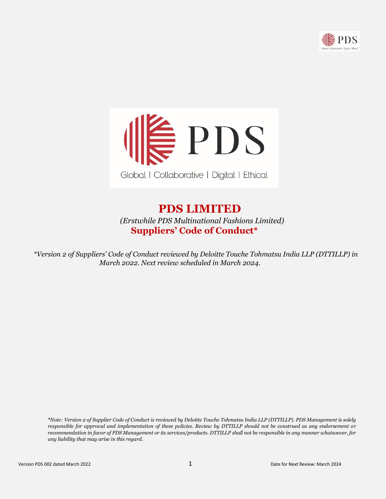



# **PDS LIMITED**   *(Erstwhile PDS Multinational Fashions Limited)* **Suppliers' Code of Conduct\***

 *\*Version 2 of Suppliers' Code of Conduct reviewed by Deloitte Touche Tohmatsu India LLP (DTTILLP) in March 2022. Next review scheduled in March 2024.*

*\*Note: Version 2 of Supplier Code of Conduct is reviewed by Deloitte Touche Tohmatsu India LLP (DTTILLP). PDS Management is solely responsible for approval and implementation of these policies. Review by DTTILLP should not be construed as any endorsement or recommendation in favor of PDS Management or its services/products. DTTILLP shall not be responsible in any manner whatsoever, for any liability that may arise in this regard.*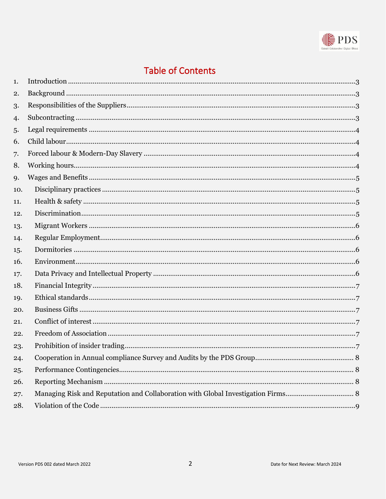

# **Table of Contents**

| 1.  |  |
|-----|--|
| 2.  |  |
| 3.  |  |
| 4.  |  |
| 5.  |  |
| 6.  |  |
| 7.  |  |
| 8.  |  |
| 9.  |  |
| 10. |  |
| 11. |  |
| 12. |  |
| 13. |  |
| 14. |  |
| 15. |  |
| 16. |  |
| 17. |  |
| 18. |  |
| 19. |  |
| 20. |  |
| 21. |  |
| 22. |  |
| 23. |  |
| 24. |  |
| 25. |  |
| 26. |  |
| 27. |  |
| 28. |  |
|     |  |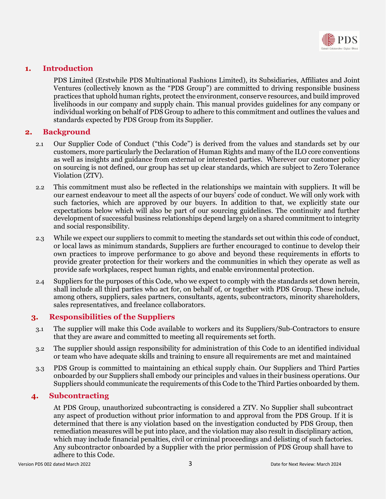

## <span id="page-2-0"></span>**1. Introduction**

PDS Limited (Erstwhile PDS Multinational Fashions Limited), its Subsidiaries, Affiliates and Joint Ventures (collectively known as the "PDS Group") are committed to driving responsible business practices that uphold human rights, protect the environment, conserve resources, and build improved livelihoods in our company and supply chain. This manual provides guidelines for any company or individual working on behalf of PDS Group to adhere to this commitment and outlines the values and standards expected by PDS Group from its Supplier.

## <span id="page-2-1"></span>**2. Background**

- 2.1 Our Supplier Code of Conduct ("this Code") is derived from the values and standards set by our customers, more particularly the Declaration of Human Rights and many of the ILO core conventions as well as insights and guidance from external or interested parties. Wherever our customer policy on sourcing is not defined, our group has set up clear standards, which are subject to Zero Tolerance Violation (ZTV).
- 2.2 This commitment must also be reflected in the relationships we maintain with suppliers. It will be our earnest endeavour to meet all the aspects of our buyers' code of conduct. We will only work with such factories, which are approved by our buyers. In addition to that, we explicitly state our expectations below which will also be part of our sourcing guidelines. The continuity and further development of successful business relationships depend largely on a shared commitment to integrity and social responsibility.
- 2.3 While we expect our suppliers to commit to meeting the standards set out within this code of conduct, or local laws as minimum standards, Suppliers are further encouraged to continue to develop their own practices to improve performance to go above and beyond these requirements in efforts to provide greater protection for their workers and the communities in which they operate as well as provide safe workplaces, respect human rights, and enable environmental protection.
- 2.4 Suppliers for the purposes of this Code, who we expect to comply with the standards set down herein, shall include all third parties who act for, on behalf of, or together with PDS Group. These include, among others, suppliers, sales partners, consultants, agents, subcontractors, minority shareholders, sales representatives, and freelance collaborators.

# <span id="page-2-2"></span>**3. Responsibilities of the Suppliers**

- 3.1 The supplier will make this Code available to workers and its Suppliers/Sub-Contractors to ensure that they are aware and committed to meeting all requirements set forth.
- 3.2 The supplier should assign responsibility for administration of this Code to an identified individual or team who have adequate skills and training to ensure all requirements are met and maintained
- 3.3 PDS Group is committed to maintaining an ethical supply chain. Our Suppliers and Third Parties onboarded by our Suppliers shall embody our principles and values in their business operations. Our Suppliers should communicate the requirements of this Code to the Third Parties onboarded by them.

# <span id="page-2-3"></span>**4. Subcontracting**

At PDS Group, unauthorized subcontracting is considered a ZTV. No Supplier shall subcontract any aspect of production without prior information to and approval from the PDS Group. If it is determined that there is any violation based on the investigation conducted by PDS Group, then remediation measures will be put into place, and the violation may also result in disciplinary action, which may include financial penalties, civil or criminal proceedings and delisting of such factories. Any subcontractor onboarded by a Supplier with the prior permission of PDS Group shall have to adhere to this Code.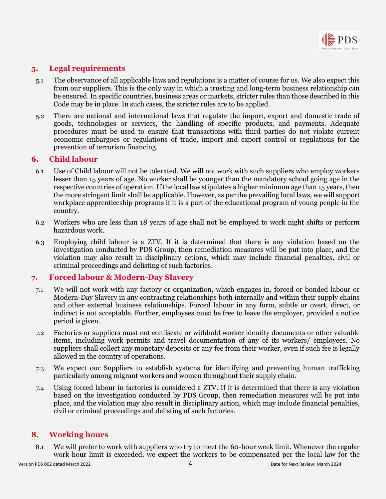

# <span id="page-3-0"></span>**5. Legal requirements**

- 5.1 The observance of all applicable laws and regulations is a matter of course for us. We also expect this from our suppliers. This is the only way in which a trusting and long-term business relationship can be ensured. In specific countries, business areas or markets, stricter rules than those described in this Code may be in place. In such cases, the stricter rules are to be applied.
- 5.2 There are national and international laws that regulate the import, export and domestic trade of goods, technologies or services, the handling of specific products, and payments. Adequate procedures must be used to ensure that transactions with third parties do not violate current economic embargoes or regulations of trade, import and export control or regulations for the prevention of terrorism financing.

## <span id="page-3-1"></span>**6. Child labour**

- 6.1 Use of Child labour will not be tolerated. We will not work with such suppliers who employ workers lesser than 15 years of age. No worker shall be younger than the mandatory school going age in the respective countries of operation. If the local law stipulates a higher minimum age than 15 years, then the more stringent limit shall be applicable. However, as per the prevailing local laws, we will support workplace apprenticeship programs if it is a part of the educational program of young people in the country.
- 6.2 Workers who are less than 18 years of age shall not be employed to work night shifts or perform hazardous work.
- 6.3 Employing child labour is a ZTV. If it is determined that there is any violation based on the investigation conducted by PDS Group, then remediation measures will be put into place, and the violation may also result in disciplinary actions, which may include financial penalties, civil or criminal proceedings and delisting of such factories.

## <span id="page-3-2"></span>**7. Forced labour & Modern-Day Slavery**

- 7.1 We will not work with any factory or organization, which engages in, forced or bonded labour or Modern-Day Slavery in any contracting relationships both internally and within their supply chains and other external business relationships. Forced labour in any form, subtle or overt, direct, or indirect is not acceptable. Further, employees must be free to leave the employer, provided a notice period is given.
- 7.2 Factories or suppliers must not confiscate or withhold worker identity documents or other valuable items, including work permits and travel documentation of any of its workers/ employees. No suppliers shall collect any monetary deposits or any fee from their worker, even if such fee is legally allowed in the country of operations.
- 7.3 We expect our Suppliers to establish systems for identifying and preventing human trafficking particularly among migrant workers and women throughout their supply chain.
- 7.4 Using forced labour in factories is considered a ZTV. If it is determined that there is any violation based on the investigation conducted by PDS Group, then remediation measures will be put into place, and the violation may also result in disciplinary action, which may include financial penalties, civil or criminal proceedings and delisting of such factories.

# <span id="page-3-3"></span>**8. Working hours**

8.1 We will prefer to work with suppliers who try to meet the 60-hour week limit. Whenever the regular work hour limit is exceeded, we expect the workers to be compensated per the local law for the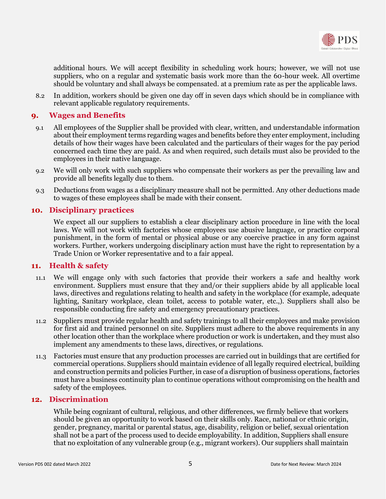

additional hours. We will accept flexibility in scheduling work hours; however, we will not use suppliers, who on a regular and systematic basis work more than the 60-hour week. All overtime should be voluntary and shall always be compensated. at a premium rate as per the applicable laws.

8.2 In addition, workers should be given one day off in seven days which should be in compliance with relevant applicable regulatory requirements.

## <span id="page-4-0"></span>**9. Wages and Benefits**

- 9.1 All employees of the Supplier shall be provided with clear, written, and understandable information about their employment terms regarding wages and benefits before they enter employment, including details of how their wages have been calculated and the particulars of their wages for the pay period concerned each time they are paid. As and when required, such details must also be provided to the employees in their native language.
- 9.2 We will only work with such suppliers who compensate their workers as per the prevailing law and provide all benefits legally due to them.
- 9.3 Deductions from wages as a disciplinary measure shall not be permitted. Any other deductions made to wages of these employees shall be made with their consent.

#### <span id="page-4-1"></span>**10. Disciplinary practices**

We expect all our suppliers to establish a clear disciplinary action procedure in line with the local laws. We will not work with factories whose employees use abusive language, or practice corporal punishment, in the form of mental or physical abuse or any coercive practice in any form against workers. Further, workers undergoing disciplinary action must have the right to representation by a Trade Union or Worker representative and to a fair appeal.

#### <span id="page-4-2"></span>**11. Health & safety**

- 11.1 We will engage only with such factories that provide their workers a safe and healthy work environment. Suppliers must ensure that they and/or their suppliers abide by all applicable local laws, directives and regulations relating to health and safety in the workplace (for example, adequate lighting, Sanitary workplace, clean toilet, access to potable water, etc.,). Suppliers shall also be responsible conducting fire safety and emergency precautionary practices.
- 11.2 Suppliers must provide regular health and safety trainings to all their employees and make provision for first aid and trained personnel on site. Suppliers must adhere to the above requirements in any other location other than the workplace where production or work is undertaken, and they must also implement any amendments to these laws, directives, or regulations.
- 11.3 Factories must ensure that any production processes are carried out in buildings that are certified for commercial operations. Suppliers should maintain evidence of all legally required electrical, building and construction permits and policies Further, in case of a disruption of business operations, factories must have a business continuity plan to continue operations without compromising on the health and safety of the employees.

#### <span id="page-4-3"></span>**12. Discrimination**

While being cognizant of cultural, religious, and other differences, we firmly believe that workers should be given an opportunity to work based on their skills only. Race, national or ethnic origin, gender, pregnancy, marital or parental status, age, disability, religion or belief, sexual orientation shall not be a part of the process used to decide employability. In addition, Suppliers shall ensure that no exploitation of any vulnerable group (e.g., migrant workers). Our suppliers shall maintain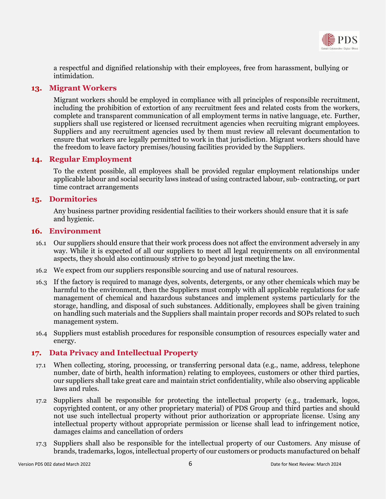

a respectful and dignified relationship with their employees, free from harassment, bullying or intimidation.

## <span id="page-5-0"></span>**13. Migrant Workers**

Migrant workers should be employed in compliance with all principles of responsible recruitment, including the prohibition of extortion of any recruitment fees and related costs from the workers, complete and transparent communication of all employment terms in native language, etc. Further, suppliers shall use registered or licensed recruitment agencies when recruiting migrant employees. Suppliers and any recruitment agencies used by them must review all relevant documentation to ensure that workers are legally permitted to work in that jurisdiction. Migrant workers should have the freedom to leave factory premises/housing facilities provided by the Suppliers.

## <span id="page-5-1"></span>**14. Regular Employment**

To the extent possible, all employees shall be provided regular employment relationships under applicable labour and social security laws instead of using contracted labour, sub- contracting, or part time contract arrangements

## <span id="page-5-2"></span>**15. Dormitories**

Any business partner providing residential facilities to their workers should ensure that it is safe and hygienic.

#### <span id="page-5-3"></span>**16. Environment**

- 16.1 Our suppliers should ensure that their work process does not affect the environment adversely in any way. While it is expected of all our suppliers to meet all legal requirements on all environmental aspects, they should also continuously strive to go beyond just meeting the law.
- 16.2 We expect from our suppliers responsible sourcing and use of natural resources.
- 16.3 If the factory is required to manage dyes, solvents, detergents, or any other chemicals which may be harmful to the environment, then the Suppliers must comply with all applicable regulations for safe management of chemical and hazardous substances and implement systems particularly for the storage, handling, and disposal of such substances. Additionally, employees shall be given training on handling such materials and the Suppliers shall maintain proper records and SOPs related to such management system.
- 16.4 Suppliers must establish procedures for responsible consumption of resources especially water and energy.

## <span id="page-5-4"></span>**17. Data Privacy and Intellectual Property**

- 17.1 When collecting, storing, processing, or transferring personal data (e.g., name, address, telephone number, date of birth, health information) relating to employees, customers or other third parties, our suppliers shall take great care and maintain strict confidentiality, while also observing applicable laws and rules.
- 17.2 Suppliers shall be responsible for protecting the intellectual property (e.g., trademark, logos, copyrighted content, or any other proprietary material) of PDS Group and third parties and should not use such intellectual property without prior authorization or appropriate license. Using any intellectual property without appropriate permission or license shall lead to infringement notice, damages claims and cancellation of orders
- 17.3 Suppliers shall also be responsible for the intellectual property of our Customers. Any misuse of brands, trademarks, logos, intellectual property of our customers or products manufactured on behalf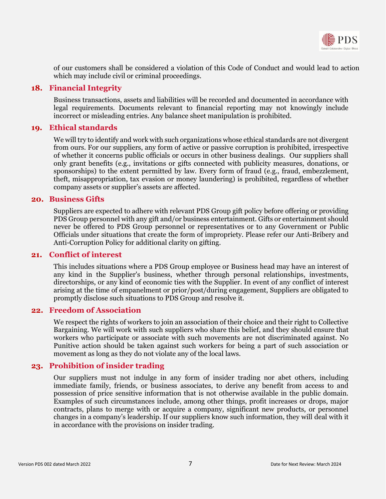

of our customers shall be considered a violation of this Code of Conduct and would lead to action which may include civil or criminal proceedings.

#### <span id="page-6-0"></span>**18. Financial Integrity**

Business transactions, assets and liabilities will be recorded and documented in accordance with legal requirements. Documents relevant to financial reporting may not knowingly include incorrect or misleading entries. Any balance sheet manipulation is prohibited.

### <span id="page-6-1"></span>**19. Ethical standards**

We will try to identify and work with such organizations whose ethical standards are not divergent from ours. For our suppliers, any form of active or passive corruption is prohibited, irrespective of whether it concerns public officials or occurs in other business dealings. Our suppliers shall only grant benefits (e.g., invitations or gifts connected with publicity measures, donations, or sponsorships) to the extent permitted by law. Every form of fraud (e.g., fraud, embezzlement, theft, misappropriation, tax evasion or money laundering) is prohibited, regardless of whether company assets or supplier's assets are affected.

#### <span id="page-6-2"></span>**20. Business Gifts**

Suppliers are expected to adhere with relevant PDS Group gift policy before offering or providing PDS Group personnel with any gift and/or business entertainment. Gifts or entertainment should never be offered to PDS Group personnel or representatives or to any Government or Public Officials under situations that create the form of impropriety. Please refer our Anti-Bribery and Anti-Corruption Policy for additional clarity on gifting.

#### <span id="page-6-3"></span>**21. Conflict of interest**

This includes situations where a PDS Group employee or Business head may have an interest of any kind in the Supplier's business, whether through personal relationships, investments, directorships, or any kind of economic ties with the Supplier. In event of any conflict of interest arising at the time of empanelment or prior/post/during engagement, Suppliers are obligated to promptly disclose such situations to PDS Group and resolve it.

### <span id="page-6-4"></span>**22. Freedom of Association**

We respect the rights of workers to join an association of their choice and their right to Collective Bargaining. We will work with such suppliers who share this belief, and they should ensure that workers who participate or associate with such movements are not discriminated against. No Punitive action should be taken against such workers for being a part of such association or movement as long as they do not violate any of the local laws.

## <span id="page-6-5"></span>**23. Prohibition of insider trading**

Our suppliers must not indulge in any form of insider trading nor abet others, including immediate family, friends, or business associates, to derive any benefit from access to and possession of price sensitive information that is not otherwise available in the public domain. Examples of such circumstances include, among other things, profit increases or drops, major contracts, plans to merge with or acquire a company, significant new products, or personnel changes in a company's leadership. If our suppliers know such information, they will deal with it in accordance with the provisions on insider trading.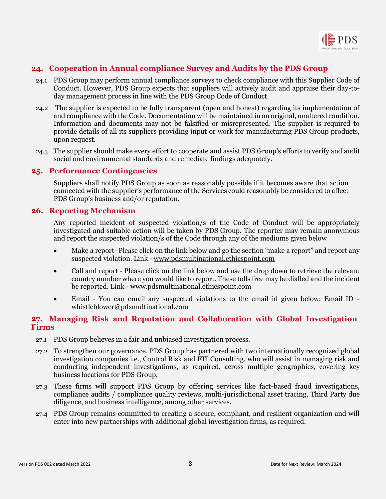

# <span id="page-7-0"></span>**24. Cooperation in Annual compliance Survey and Audits by the PDS Group**

- 24.1 PDS Group may perform annual compliance surveys to check compliance with this Supplier Code of Conduct. However, PDS Group expects that suppliers will actively audit and appraise their day-today management process in line with the PDS Group Code of Conduct.
- 24.2 The supplier is expected to be fully transparent (open and honest) regarding its implementation of and compliance with the Code. Documentation will be maintained in an original, unaltered condition. Information and documents may not be falsified or misrepresented. The supplier is required to provide details of all its suppliers providing input or work for manufacturing PDS Group products, upon request.
- 24.3 The supplier should make every effort to cooperate and assist PDS Group's efforts to verify and audit social and environmental standards and remediate findings adequately.

#### <span id="page-7-1"></span>**25. Performance Contingencies**

Suppliers shall notify PDS Group as soon as reasonably possible if it becomes aware that action connected with the supplier's performance of the Services could reasonably be considered to affect PDS Group's business and/or reputation.

#### <span id="page-7-2"></span>**26. Reporting Mechanism**

Any reported incident of suspected violation/s of the Code of Conduct will be appropriately investigated and suitable action will be taken by PDS Group. The reporter may remain anonymous and report the suspected violation/s of the Code through any of the mediums given below

- Make a report- Please click on the link below and go the section "make a report" and report any suspected violation. Link - [www.pdsmultinational.ethicspoint.com](http://www.pdsmultinational.ethicspoint.com/)
- Call and report Please click on the link below and use the drop down to retrieve the relevant country number where you would like to report. These tolls free may be dialled and the incident be reported. Link - www.pdsmultinational.ethicspoint.com
- Email You can email any suspected violations to the email id given below: Email ID whistleblower@pdsmultinational.com

## <span id="page-7-3"></span>**27. Managing Risk and Reputation and Collaboration with Global Investigation Firms**

- 27.1 PDS Group believes in a fair and unbiased investigation process.
- 27.2 To strengthen our governance, PDS Group has partnered with two internationally recognized global investigation companies i.e., Control Risk and FTI Consulting, who will assist in managing risk and conducting independent investigations, as required, across multiple geographies, covering key business locations for PDS Group.
- 27.3 These firms will support PDS Group by offering services like fact-based fraud investigations, compliance audits / compliance quality reviews, multi-jurisdictional asset tracing, Third Party due diligence, and business intelligence, among other services.
- 27.4 PDS Group remains committed to creating a secure, compliant, and resilient organization and will enter into new partnerships with additional global investigation firms, as required.